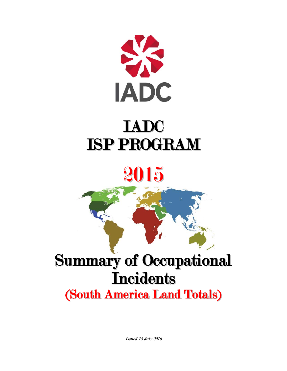

## IADC ISP PROGRAM

# 2015

# Summary of Occupational **Incidents**

(South America Land Totals)

Issued 15 July 2016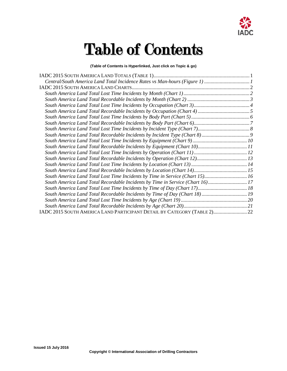

## Table of Contents

## **(Table of Contents is Hyperlinked, Just click on Topic & go)**

| South America Land Total Lost Time Incidents by Time in Service (Chart 15) 16 |  |
|-------------------------------------------------------------------------------|--|
| South America Land Total Recordable Incidents by Time in Service (Chart 16)17 |  |
|                                                                               |  |
|                                                                               |  |
|                                                                               |  |
|                                                                               |  |
| IADC 2015 SOUTH AMERICA LAND PARTICIPANT DETAIL BY CATEGORY (TABLE 2) 22      |  |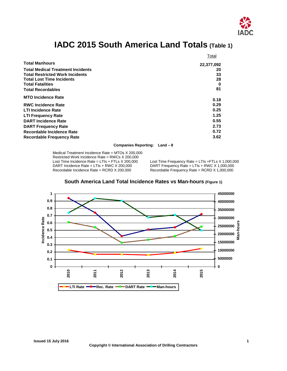

## **IADC 2015 South America Land Totals (Table 1)**

<span id="page-2-0"></span>

|                                          | Total      |
|------------------------------------------|------------|
| <b>Total Manhours</b>                    | 22,377,092 |
| <b>Total Medical Treatment Incidents</b> | 20         |
| <b>Total Restricted Work Incidents</b>   | 33         |
| <b>Total Lost Time Incidents</b>         | 28         |
| <b>Total Fatalities</b>                  | 0          |
| <b>Total Recordables</b>                 | 81         |
| <b>MTO Incidence Rate</b>                | 0.18       |
| <b>RWC Incidence Rate</b>                | 0.29       |
| <b>LTI Incidence Rate</b>                | 0.25       |
| <b>LTI Frequency Rate</b>                | 1.25       |
| <b>DART Incidence Rate</b>               | 0.55       |
| <b>DART Frequency Rate</b>               | 2.73       |
| Recordable Incidence Rate                | 0.72       |
| <b>Recordable Frequency Rate</b>         | 3.62       |

#### **Companies Reporting: Land – 8**

Medical Treatment Incidence Rate = MTOs X 200,000 Restricted Work Incidence Rate = RWCs X 200,000<br>Lost Time Incidence Rate = LTIs + FTLs X 200,000 DART Incidence Rate = LTIs + RWC X 200,000 DART Frequency Rate = LTIs + RWC X 1,000,000<br>Recordable Incidence Rate = RCRD X 200,000 Recordable Frequency Rate = RCRD X 1,000,000

Lost Time Incidence Rate = LTIs + FTLs X 200,000 Lost Time Frequency Rate = LTIs + FTLs X 1,000,000<br>DART Incidence Rate = LTIs + RWC X 200,000 DART Frequency Rate = LTIs + RWC X 1,000,000 Recordable Frequency Rate = RCRD X 1,000,000

<span id="page-2-1"></span>

### **South America Land Total Incidence Rates vs Man-hours (Figure 1)**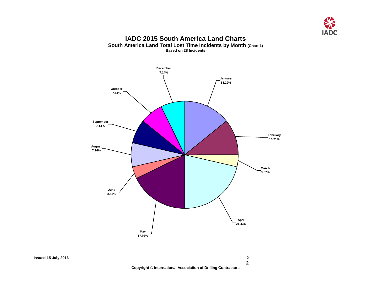

## **IADC 2015 South America Land Charts South America Land Total Lost Time Incidents by Month (Chart 1) Based on 28 Incidents**

<span id="page-3-1"></span><span id="page-3-0"></span>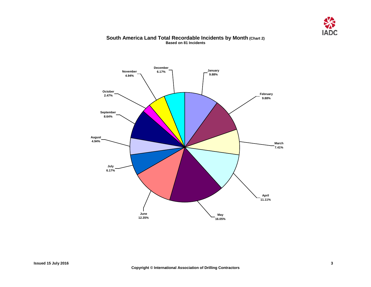

## **South America Land Total Recordable Incidents by Month (Chart 2) Based on 81 Incidents**

<span id="page-4-0"></span>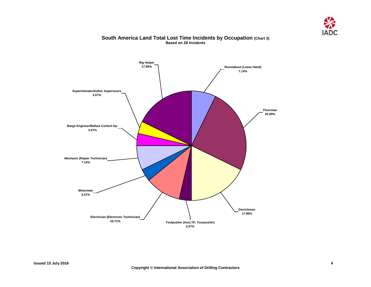

## <span id="page-5-0"></span>**Barge Engineer/Ballast Control Op. 3.57% Rig Helper 17.86% Electrician (Electronic Technician) 10.71% Mechanic (Repair Technician) 7.14% Motorman 3.57% Floorman 25.00% Superintendent/other Supervisors 3.57% Toolpusher (Asst.TP, Tourpusher) 3.57% Derrickman 17.86% Roustabout (Lease Hand) 7.14%**

## **South America Land Total Lost Time Incidents by Occupation (Chart 3) Based on 28 Incidents**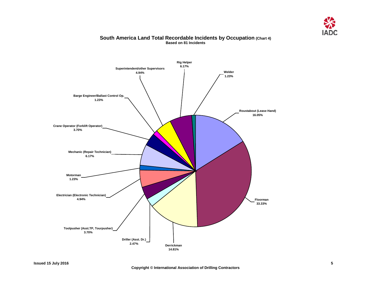

## **South America Land Total Recordable Incidents by Occupation (Chart 4) Based on 81 Incidents**

<span id="page-6-0"></span>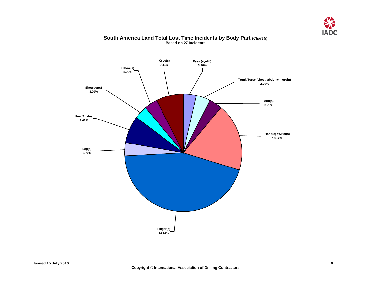

## <span id="page-7-0"></span>**Elbow(s) 3.70% Knee(s) 7.41% Shoulder(s) 3.70% Feet/Ankles 7.41% Leg(s) 3.70% Finger(s) 44.44% Hand(s) / Wrist(s) 18.52% Arm(s) 3.70% Trunk/Torso (chest, abdomen, groin) 3.70% Eyes (eyelid) 3.70%**

## **South America Land Total Lost Time Incidents by Body Part (Chart 5) Based on 27 Incidents**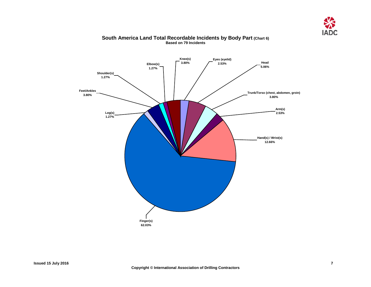

<span id="page-8-0"></span>

## **South America Land Total Recordable Incidents by Body Part (Chart 6) Based on 79 Incidents**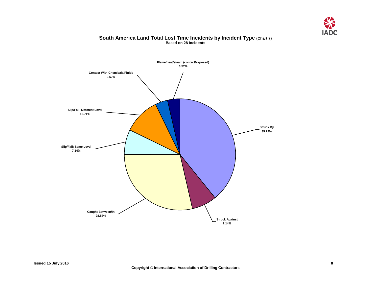

## **South America Land Total Lost Time Incidents by Incident Type (Chart 7) Based on 28 Incidents**

<span id="page-9-0"></span>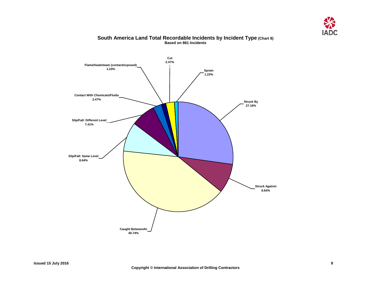

<span id="page-10-0"></span>

## **South America Land Total Recordable Incidents by Incident Type (Chart 8) Based on 861 Incidents**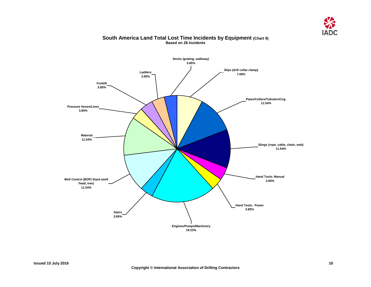

## <span id="page-11-0"></span>**Ladders 3.85% Forklift 3.85% Pressure Hoses/Lines 3.85% Material 11.54% Stairs 3.85% Well Control (BOP) Stack (well head, tree) 11.54% Engines/Pumps/Machinery 19.23% Hand Tools: Power 3.85% Hand Tools: Manual 3.85% Slings (rope, cable, chain, web) 11.54% Pipes/Collars/Tubulars/Csg. 11.54% Slips (drill collar clamp) 7.69% Decks (grating, walkway) 3.85%**

## **South America Land Total Lost Time Incidents by Equipment (Chart 9) Based on 26 Incidents**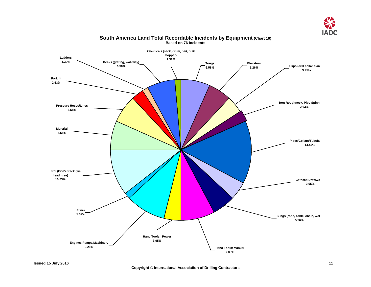

<span id="page-12-0"></span>

## **South America Land Total Recordable Incidents by Equipment (Chart 10) Based on 76 Incidents**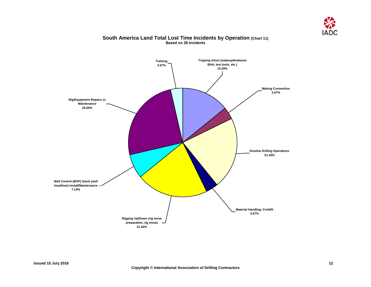

## **South America Land Total Lost Time Incidents by Operation (Chart 11) Based on 28 Incidents**

<span id="page-13-0"></span>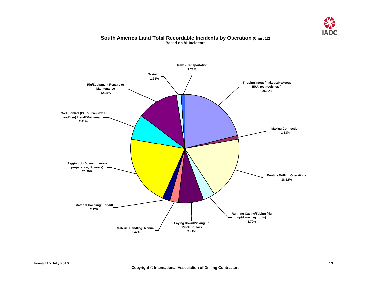

## **South America Land Total Recordable Incidents by Operation (Chart 12) Based on 81 Incidents**

<span id="page-14-0"></span>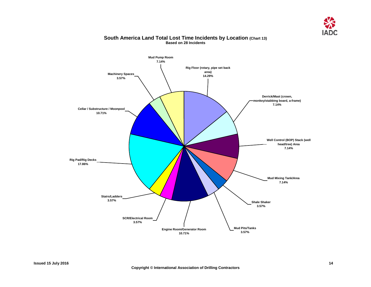

<span id="page-15-0"></span>

## **South America Land Total Lost Time Incidents by Location (Chart 13) Based on 28 Incidents**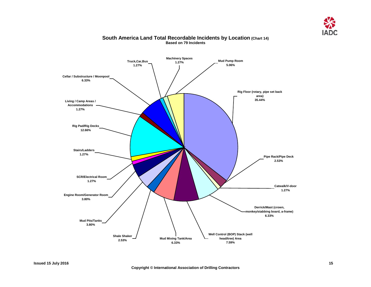

<span id="page-16-0"></span>

## **South America Land Total Recordable Incidents by Location (Chart 14) Based on 79 Incidents**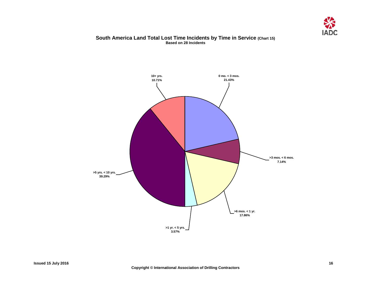

### **South America Land Total Lost Time Incidents by Time in Service (Chart 15) Based on 28 Incidents**

<span id="page-17-0"></span>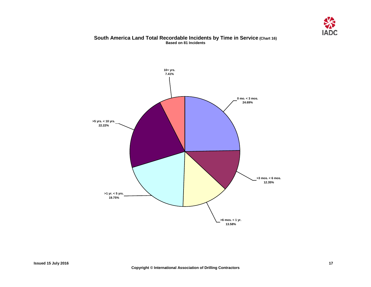

## **South America Land Total Recordable Incidents by Time in Service (Chart 16) Based on 81 Incidents**

<span id="page-18-0"></span>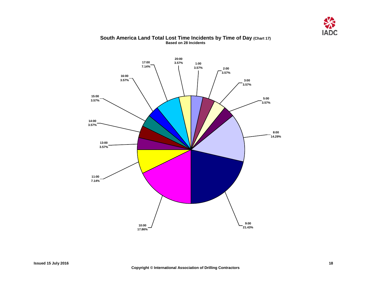

<span id="page-19-0"></span>

## **South America Land Total Lost Time Incidents by Time of Day (Chart 17) Based on 28 Incidents**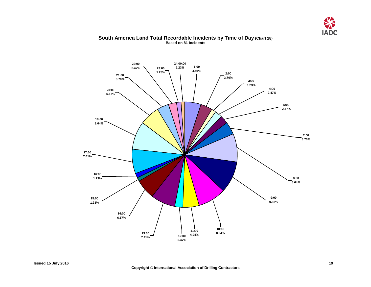

#### <span id="page-20-0"></span>**14:00 6.17% 13:00 7.41% 22:00 2.47% 24:00:00 23:00 1.23% 1.23% 21:00 3.70% 20:00 6.17% 15:00 1.23% 16:00 1.23% 17:00 7.41% 18:00 8.64% 12:00 2.47% 11:00 4.94% 10:00 8.64% 9:00 9.88% 8:00 8.64% 7:00 3.70% 5:00 2.47% 4:00 2.47% 3:00 1.23% 2:00 3.70% 1:00 4.94%**

## **South America Land Total Recordable Incidents by Time of Day (Chart 18) Based on 81 Incidents**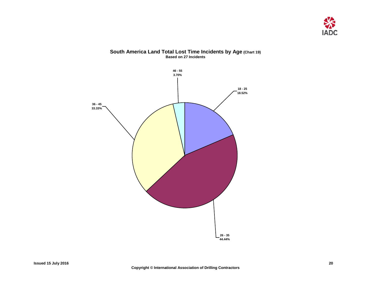

## **South America Land Total Lost Time Incidents by Age (Chart 19) Based on 27 Incidents**